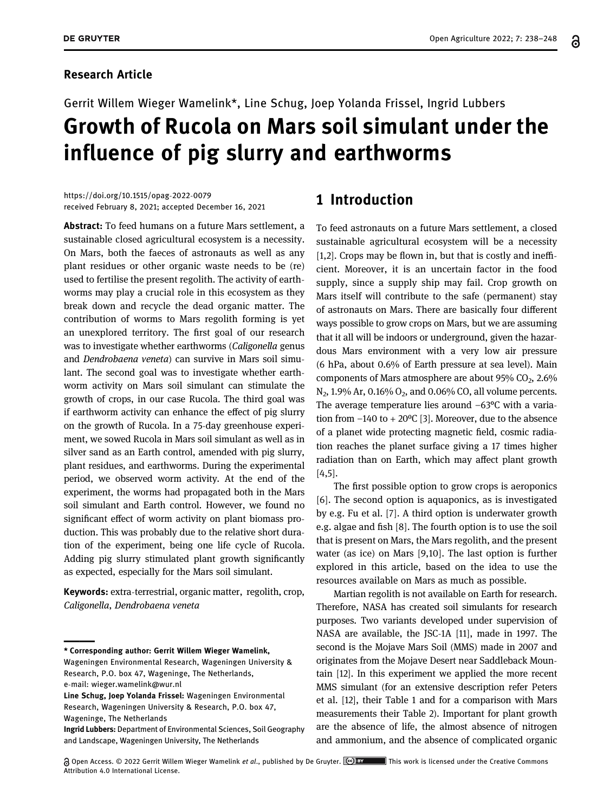#### Research Article

# Gerrit Willem Wieger Wamelink\*, Line Schug, Joep Yolanda Frissel, Ingrid Lubbers Growth of Rucola on Mars soil simulant under the influence of pig slurry and earthworms

[https://doi.org/10.1515/opag](https://doi.org/10.1515/opag-2022-0079)-2022-0079 received February 8, 2021; accepted December 16, 2021

Abstract: To feed humans on a future Mars settlement, a sustainable closed agricultural ecosystem is a necessity. On Mars, both the faeces of astronauts as well as any plant residues or other organic waste needs to be (re) used to fertilise the present regolith. The activity of earthworms may play a crucial role in this ecosystem as they break down and recycle the dead organic matter. The contribution of worms to Mars regolith forming is yet an unexplored territory. The first goal of our research was to investigate whether earthworms (Caligonella genus and Dendrobaena veneta) can survive in Mars soil simulant. The second goal was to investigate whether earthworm activity on Mars soil simulant can stimulate the growth of crops, in our case Rucola. The third goal was if earthworm activity can enhance the effect of pig slurry on the growth of Rucola. In a 75-day greenhouse experiment, we sowed Rucola in Mars soil simulant as well as in silver sand as an Earth control, amended with pig slurry, plant residues, and earthworms. During the experimental period, we observed worm activity. At the end of the experiment, the worms had propagated both in the Mars soil simulant and Earth control. However, we found no significant effect of worm activity on plant biomass production. This was probably due to the relative short duration of the experiment, being one life cycle of Rucola. Adding pig slurry stimulated plant growth significantly as expected, especially for the Mars soil simulant.

Keywords: extra-terrestrial, organic matter, regolith, crop, Caligonella, Dendrobaena veneta

\* Corresponding author: Gerrit Willem Wieger Wamelink,

### 1 Introduction

To feed astronauts on a future Mars settlement, a closed sustainable agricultural ecosystem will be a necessity [[1](#page-5-0),[2](#page-5-1)]. Crops may be flown in, but that is costly and inefficient. Moreover, it is an uncertain factor in the food supply, since a supply ship may fail. Crop growth on Mars itself will contribute to the safe (permanent) stay of astronauts on Mars. There are basically four different ways possible to grow crops on Mars, but we are assuming that it all will be indoors or underground, given the hazardous Mars environment with a very low air pressure (6 hPa, about 0.6% of Earth pressure at sea level). Main components of Mars atmosphere are about  $95\%$  CO<sub>2</sub>, 2.6%  $N_2$ , 1.9% Ar, 0.16% O<sub>2</sub>, and 0.06% CO, all volume percents. The average temperature lies around  $-63^{\circ}$ C with a variation from  $-140$  to  $+ 20$ <sup>o</sup>C [[3](#page-5-2)]. Moreover, due to the absence of a planet wide protecting magnetic field, cosmic radiation reaches the planet surface giving a 17 times higher radiation than on Earth, which may affect plant growth [[4](#page-5-3)[,5](#page-5-4)].

The first possible option to grow crops is aeroponics [[6](#page-5-5)]. The second option is aquaponics, as is investigated by e.g. Fu et al. [[7](#page-5-6)]. A third option is underwater growth e.g. algae and fish [[8](#page-5-7)]. The fourth option is to use the soil that is present on Mars, the Mars regolith, and the present water (as ice) on Mars [[9](#page-5-8),[10](#page-5-9)]. The last option is further explored in this article, based on the idea to use the resources available on Mars as much as possible.

Martian regolith is not available on Earth for research. Therefore, NASA has created soil simulants for research purposes. Two variants developed under supervision of NASA are available, the JSC-1A [[11](#page-5-10)], made in 1997. The second is the Mojave Mars Soil (MMS) made in 2007 and originates from the Mojave Desert near Saddleback Mountain [[12](#page-5-11)]. In this experiment we applied the more recent MMS simulant (for an extensive description refer Peters et al. [[12](#page-5-11)], their [Table 1](#page-1-0) and for a comparison with Mars measurements their [Table 2](#page-1-1)). Important for plant growth are the absence of life, the almost absence of nitrogen and ammonium, and the absence of complicated organic

Open Access. © 2022 Gerrit Willem Wieger Wamelink et al., published by De Gruyter. This work is licensed under the Creative Commons Attribution 4.0 International License.

Wageningen Environmental Research, Wageningen University & Research, P.O. box 47, Wageninge, The Netherlands, e-mail: [wieger.wamelink@wur.nl](mailto:wieger.wamelink@wur.nl)

Line Schug, Joep Yolanda Frissel: Wageningen Environmental Research, Wageningen University & Research, P.O. box 47, Wageninge, The Netherlands

Ingrid Lubbers: Department of Environmental Sciences, Soil Geography and Landscape, Wageningen University, The Netherlands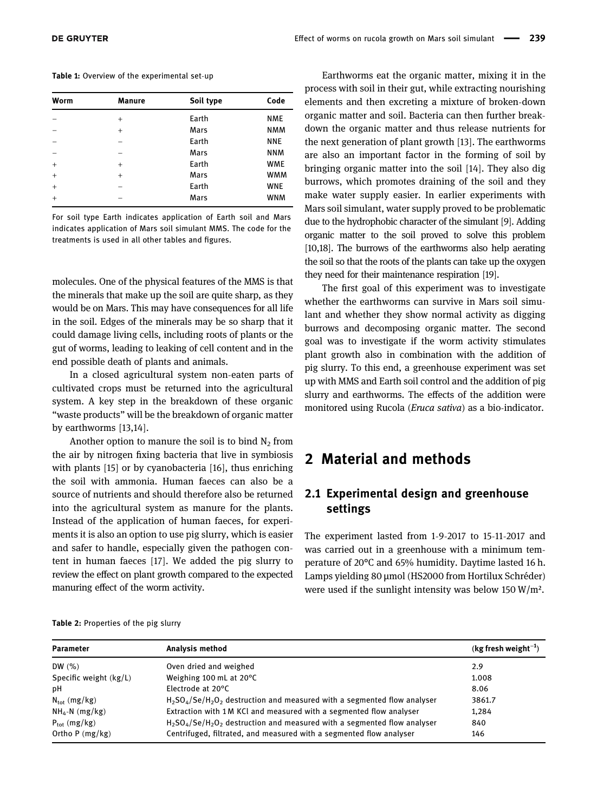<span id="page-1-0"></span>Table 1: Overview of the experimental set-up

| Worm      | <b>Manure</b> | Soil type | Code       |
|-----------|---------------|-----------|------------|
|           | $^{+}$        | Earth     | <b>NME</b> |
|           | $+$           | Mars      | <b>NMM</b> |
|           |               | Earth     | <b>NNE</b> |
|           |               | Mars      | <b>NNM</b> |
| $+$       | $+$           | Earth     | <b>WME</b> |
| $+$       | $+$           | Mars      | <b>WMM</b> |
| $\ddot{}$ |               | Earth     | <b>WNE</b> |
| $+$       |               | Mars      | <b>WNM</b> |

For soil type Earth indicates application of Earth soil and Mars indicates application of Mars soil simulant MMS. The code for the treatments is used in all other tables and figures.

molecules. One of the physical features of the MMS is that the minerals that make up the soil are quite sharp, as they would be on Mars. This may have consequences for all life in the soil. Edges of the minerals may be so sharp that it could damage living cells, including roots of plants or the gut of worms, leading to leaking of cell content and in the end possible death of plants and animals.

In a closed agricultural system non-eaten parts of cultivated crops must be returned into the agricultural system. A key step in the breakdown of these organic "waste products" will be the breakdown of organic matter by earthworms [[13,](#page-6-0)[14](#page-6-1)].

Another option to manure the soil is to bind  $N<sub>2</sub>$  from the air by nitrogen fixing bacteria that live in symbiosis with plants [[15](#page-6-2)] or by cyanobacteria [[16](#page-6-3)], thus enriching the soil with ammonia. Human faeces can also be a source of nutrients and should therefore also be returned into the agricultural system as manure for the plants. Instead of the application of human faeces, for experiments it is also an option to use pig slurry, which is easier and safer to handle, especially given the pathogen content in human faeces [[17](#page-6-4)]. We added the pig slurry to review the effect on plant growth compared to the expected manuring effect of the worm activity.

Earthworms eat the organic matter, mixing it in the process with soil in their gut, while extracting nourishing elements and then excreting a mixture of broken-down organic matter and soil. Bacteria can then further breakdown the organic matter and thus release nutrients for the next generation of plant growth [[13](#page-6-0)]. The earthworms are also an important factor in the forming of soil by bringing organic matter into the soil [[14](#page-6-1)]. They also dig burrows, which promotes draining of the soil and they make water supply easier. In earlier experiments with Mars soil simulant, water supply proved to be problematic due to the hydrophobic character of the simulant [[9](#page-5-8)]. Adding organic matter to the soil proved to solve this problem [[10](#page-5-9)[,18](#page-6-5)]. The burrows of the earthworms also help aerating the soil so that the roots of the plants can take up the oxygen they need for their maintenance respiration [[19](#page-6-6)].

The first goal of this experiment was to investigate whether the earthworms can survive in Mars soil simulant and whether they show normal activity as digging burrows and decomposing organic matter. The second goal was to investigate if the worm activity stimulates plant growth also in combination with the addition of pig slurry. To this end, a greenhouse experiment was set up with MMS and Earth soil control and the addition of pig slurry and earthworms. The effects of the addition were monitored using Rucola (Eruca sativa) as a bio-indicator.

### 2 Material and methods

#### 2.1 Experimental design and greenhouse settings

The experiment lasted from 1-9-2017 to 15-11-2017 and was carried out in a greenhouse with a minimum temperature of 20°C and 65% humidity. Daytime lasted 16 h. Lamps yielding 80 μmol (HS2000 from Hortilux Schréder) were used if the sunlight intensity was below 150 W/m².

<span id="page-1-1"></span>

|  | Table 2: Properties of the pig slurry |  |  |  |
|--|---------------------------------------|--|--|--|
|--|---------------------------------------|--|--|--|

| <b>Parameter</b>         | Analysis method                                                             | $(kg$ fresh weight <sup>-1</sup> ) |
|--------------------------|-----------------------------------------------------------------------------|------------------------------------|
| DW $(\% )$               | Oven dried and weighed                                                      | 2.9                                |
| Specific weight (kg/L)   | Weighing 100 mL at 20°C                                                     | 1.008                              |
| рH                       | Electrode at 20°C                                                           | 8.06                               |
| $N_{\text{tot}}$ (mg/kg) | $H2SO4/Se/H2O2$ destruction and measured with a segmented flow analyser     | 3861.7                             |
| $NH_4$ -N (mg/kg)        | Extraction with 1 M KCl and measured with a segmented flow analyser         | 1,284                              |
| $P_{\text{tot}}$ (mg/kg) | $H_2SO_4/Se/H_2O_2$ destruction and measured with a segmented flow analyser | 840                                |
| Ortho $P$ (mg/kg)        | Centrifuged, filtrated, and measured with a segmented flow analyser         | 146                                |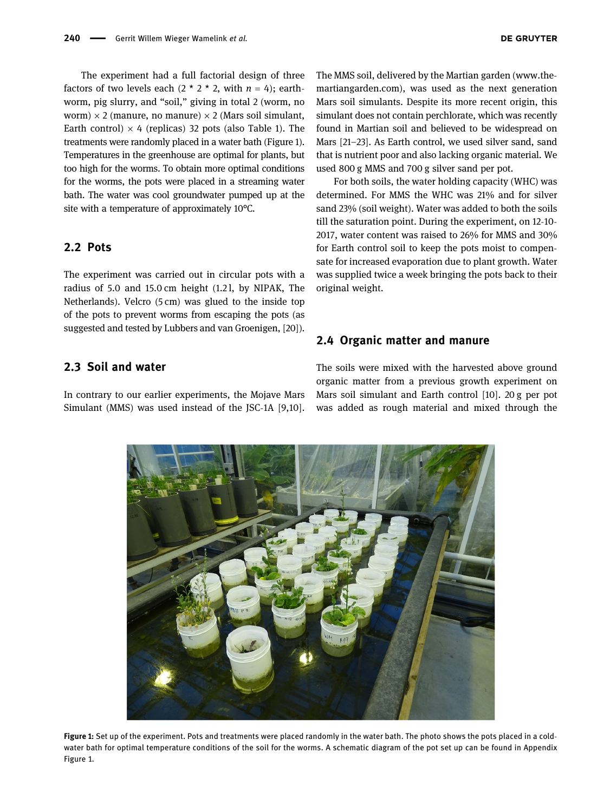The experiment had a full factorial design of three factors of two levels each  $(2 \times 2 \times 2)$ , with  $n = 4$ ; earthworm, pig slurry, and "soil," giving in total 2 (worm, no worm)  $\times$  2 (manure, no manure)  $\times$  2 (Mars soil simulant, Earth control)  $\times$  4 (replicas) 32 pots (also [Table 1](#page-1-0)). The treatments were randomly placed in a water bath ([Figure 1](#page-2-0)). Temperatures in the greenhouse are optimal for plants, but too high for the worms. To obtain more optimal conditions for the worms, the pots were placed in a streaming water bath. The water was cool groundwater pumped up at the site with a temperature of approximately 10°C.

#### 2.2 Pots

The experiment was carried out in circular pots with a radius of 5.0 and 15.0 cm height (1.2 l, by NIPAK, The Netherlands). Velcro (5 cm) was glued to the inside top of the pots to prevent worms from escaping the pots (as suggested and tested by Lubbers and van Groenigen, [[20](#page-6-7)]).

#### 2.3 Soil and water

In contrary to our earlier experiments, the Mojave Mars Simulant (MMS) was used instead of the JSC-1A [[9](#page-5-8)[,10](#page-5-9)]. The MMS soil, delivered by the Martian garden (www.themartiangarden.com), was used as the next generation Mars soil simulants. Despite its more recent origin, this simulant does not contain perchlorate, which was recently found in Martian soil and believed to be widespread on Mars [[21](#page-6-8)–[23](#page-6-9)]. As Earth control, we used silver sand, sand that is nutrient poor and also lacking organic material. We used 800 g MMS and 700 g silver sand per pot.

For both soils, the water holding capacity (WHC) was determined. For MMS the WHC was 21% and for silver sand 23% (soil weight). Water was added to both the soils till the saturation point. During the experiment, on 12-10- 2017, water content was raised to 26% for MMS and 30% for Earth control soil to keep the pots moist to compensate for increased evaporation due to plant growth. Water was supplied twice a week bringing the pots back to their original weight.

#### 2.4 Organic matter and manure

The soils were mixed with the harvested above ground organic matter from a previous growth experiment on Mars soil simulant and Earth control [[10](#page-5-9)]. 20 g per pot was added as rough material and mixed through the

<span id="page-2-0"></span>

Figure 1: Set up of the experiment. Pots and treatments were placed randomly in the water bath. The photo shows the pots placed in a coldwater bath for optimal temperature conditions of the soil for the worms. A schematic diagram of the pot set up can be found in Appendix Figure 1.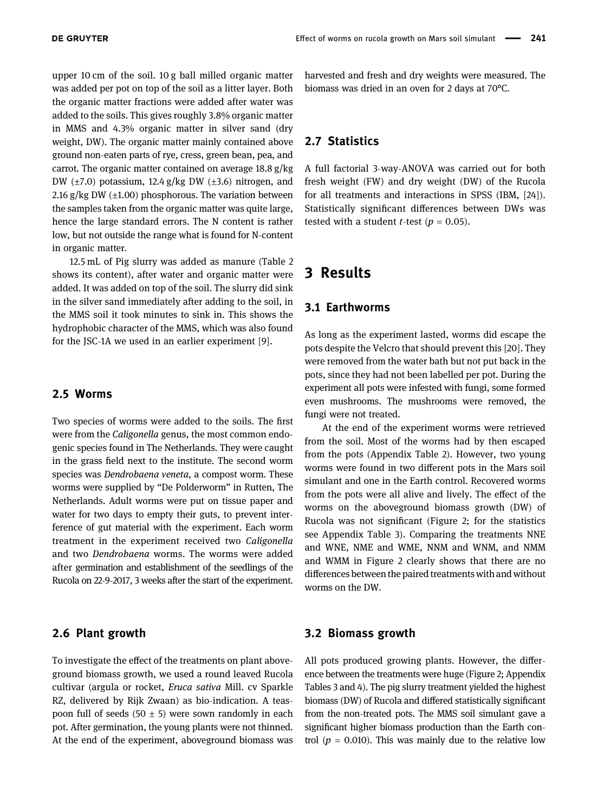upper 10 cm of the soil. 10 g ball milled organic matter was added per pot on top of the soil as a litter layer. Both the organic matter fractions were added after water was added to the soils. This gives roughly 3.8% organic matter in MMS and 4.3% organic matter in silver sand (dry weight, DW). The organic matter mainly contained above ground non-eaten parts of rye, cress, green bean, pea, and carrot. The organic matter contained on average 18.8 g/kg DW  $(\pm 7.0)$  potassium, 12.4 g/kg DW  $(\pm 3.6)$  nitrogen, and 2.16 g/kg DW  $(\pm 1.00)$  phosphorous. The variation between the samples taken from the organic matter was quite large, hence the large standard errors. The N content is rather low, but not outside the range what is found for N-content in organic matter.

12.5 mL of Pig slurry was added as manure ([Table 2](#page-1-1) shows its content), after water and organic matter were added. It was added on top of the soil. The slurry did sink in the silver sand immediately after adding to the soil, in the MMS soil it took minutes to sink in. This shows the hydrophobic character of the MMS, which was also found for the JSC-1A we used in an earlier experiment [[9](#page-5-8)].

#### 2.5 Worms

Two species of worms were added to the soils. The first were from the Caligonella genus, the most common endogenic species found in The Netherlands. They were caught in the grass field next to the institute. The second worm species was Dendrobaena veneta, a compost worm. These worms were supplied by "De Polderworm" in Rutten, The Netherlands. Adult worms were put on tissue paper and water for two days to empty their guts, to prevent interference of gut material with the experiment. Each worm treatment in the experiment received two Caligonella and two Dendrobaena worms. The worms were added after germination and establishment of the seedlings of the Rucola on 22-9-2017, 3 weeks after the start of the experiment.

#### 2.6 Plant growth

To investigate the effect of the treatments on plant aboveground biomass growth, we used a round leaved Rucola cultivar (argula or rocket, Eruca sativa Mill. cv Sparkle RZ, delivered by Rijk Zwaan) as bio-indication. A teaspoon full of seeds (50  $\pm$  5) were sown randomly in each pot. After germination, the young plants were not thinned. At the end of the experiment, aboveground biomass was

harvested and fresh and dry weights were measured. The biomass was dried in an oven for 2 days at 70°C.

#### 2.7 Statistics

A full factorial 3-way-ANOVA was carried out for both fresh weight (FW) and dry weight (DW) of the Rucola for all treatments and interactions in SPSS (IBM, [[24](#page-6-10)]). Statistically significant differences between DWs was tested with a student *t*-test ( $p = 0.05$ ).

### 3 Results

#### 3.1 Earthworms

As long as the experiment lasted, worms did escape the pots despite the Velcro that should prevent this [[20](#page-6-7)]. They were removed from the water bath but not put back in the pots, since they had not been labelled per pot. During the experiment all pots were infested with fungi, some formed even mushrooms. The mushrooms were removed, the fungi were not treated.

At the end of the experiment worms were retrieved from the soil. Most of the worms had by then escaped from the pots (Appendix Table 2). However, two young worms were found in two different pots in the Mars soil simulant and one in the Earth control. Recovered worms from the pots were all alive and lively. The effect of the worms on the aboveground biomass growth (DW) of Rucola was not significant ([Figure 2;](#page-4-0) for the statistics see Appendix Table 3). Comparing the treatments NNE and WNE, NME and WME, NNM and WNM, and NMM and WMM in [Figure 2](#page-4-0) clearly shows that there are no differences between the paired treatments with and without worms on the DW.

#### 3.2 Biomass growth

All pots produced growing plants. However, the difference between the treatments were huge ([Figure 2](#page-4-0); Appendix Tables 3 and 4). The pig slurry treatment yielded the highest biomass (DW) of Rucola and differed statistically significant from the non-treated pots. The MMS soil simulant gave a significant higher biomass production than the Earth control ( $p = 0.010$ ). This was mainly due to the relative low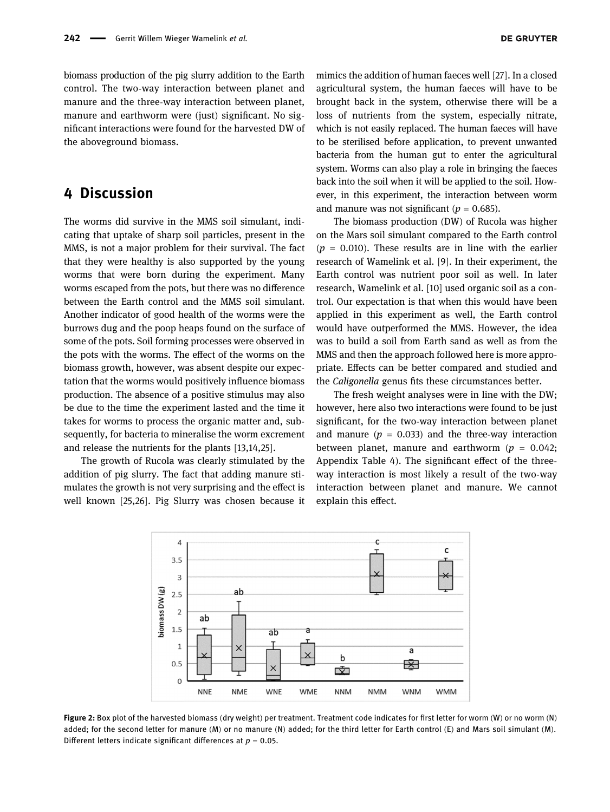biomass production of the pig slurry addition to the Earth control. The two-way interaction between planet and manure and the three-way interaction between planet, manure and earthworm were (just) significant. No significant interactions were found for the harvested DW of the aboveground biomass.

### 4 Discussion

The worms did survive in the MMS soil simulant, indicating that uptake of sharp soil particles, present in the MMS, is not a major problem for their survival. The fact that they were healthy is also supported by the young worms that were born during the experiment. Many worms escaped from the pots, but there was no difference between the Earth control and the MMS soil simulant. Another indicator of good health of the worms were the burrows dug and the poop heaps found on the surface of some of the pots. Soil forming processes were observed in the pots with the worms. The effect of the worms on the biomass growth, however, was absent despite our expectation that the worms would positively influence biomass production. The absence of a positive stimulus may also be due to the time the experiment lasted and the time it takes for worms to process the organic matter and, subsequently, for bacteria to mineralise the worm excrement and release the nutrients for the plants [[13](#page-6-0),[14,](#page-6-1)[25](#page-6-11)].

<span id="page-4-0"></span>The growth of Rucola was clearly stimulated by the addition of pig slurry. The fact that adding manure stimulates the growth is not very surprising and the effect is well known [[25](#page-6-11)[,26](#page-6-12)]. Pig Slurry was chosen because it

mimics the addition of human faeces well [[27](#page-6-13)]. In a closed agricultural system, the human faeces will have to be brought back in the system, otherwise there will be a loss of nutrients from the system, especially nitrate, which is not easily replaced. The human faeces will have to be sterilised before application, to prevent unwanted bacteria from the human gut to enter the agricultural system. Worms can also play a role in bringing the faeces back into the soil when it will be applied to the soil. However, in this experiment, the interaction between worm and manure was not significant ( $p = 0.685$ ).

The biomass production (DW) of Rucola was higher on the Mars soil simulant compared to the Earth control  $(p = 0.010)$ . These results are in line with the earlier research of Wamelink et al. [[9](#page-5-8)]. In their experiment, the Earth control was nutrient poor soil as well. In later research, Wamelink et al. [[10](#page-5-9)] used organic soil as a control. Our expectation is that when this would have been applied in this experiment as well, the Earth control would have outperformed the MMS. However, the idea was to build a soil from Earth sand as well as from the MMS and then the approach followed here is more appropriate. Effects can be better compared and studied and the Caligonella genus fits these circumstances better.

The fresh weight analyses were in line with the DW; however, here also two interactions were found to be just significant, for the two-way interaction between planet and manure ( $p = 0.033$ ) and the three-way interaction between planet, manure and earthworm ( $p = 0.042$ ; Appendix Table 4). The significant effect of the threeway interaction is most likely a result of the two-way interaction between planet and manure. We cannot explain this effect.



Figure 2: Box plot of the harvested biomass (dry weight) per treatment. Treatment code indicates for first letter for worm (W) or no worm (N) added; for the second letter for manure (M) or no manure (N) added; for the third letter for Earth control (E) and Mars soil simulant (M). Different letters indicate significant differences at  $p = 0.05$ .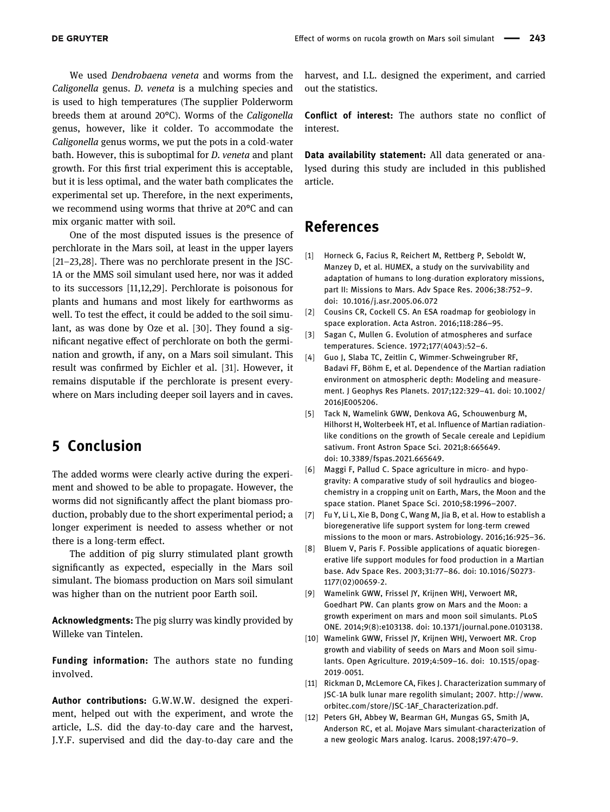We used Dendrobaena veneta and worms from the Caligonella genus. D. veneta is a mulching species and is used to high temperatures (The supplier Polderworm breeds them at around 20°C). Worms of the Caligonella genus, however, like it colder. To accommodate the Caligonella genus worms, we put the pots in a cold-water bath. However, this is suboptimal for *D. veneta* and plant growth. For this first trial experiment this is acceptable, but it is less optimal, and the water bath complicates the experimental set up. Therefore, in the next experiments, we recommend using worms that thrive at 20°C and can mix organic matter with soil.

One of the most disputed issues is the presence of perchlorate in the Mars soil, at least in the upper layers [[21](#page-6-8)–[23,](#page-6-9)[28](#page-6-14)]. There was no perchlorate present in the JSC-1A or the MMS soil simulant used here, nor was it added to its successors [[11,](#page-5-10)[12](#page-5-11)[,29](#page-6-15)]. Perchlorate is poisonous for plants and humans and most likely for earthworms as well. To test the effect, it could be added to the soil simulant, as was done by Oze et al. [[30](#page-6-16)]. They found a significant negative effect of perchlorate on both the germination and growth, if any, on a Mars soil simulant. This result was confirmed by Eichler et al. [[31](#page-6-17)]. However, it remains disputable if the perchlorate is present everywhere on Mars including deeper soil layers and in caves.

### 5 Conclusion

The added worms were clearly active during the experiment and showed to be able to propagate. However, the worms did not significantly affect the plant biomass production, probably due to the short experimental period; a longer experiment is needed to assess whether or not there is a long-term effect.

The addition of pig slurry stimulated plant growth significantly as expected, especially in the Mars soil simulant. The biomass production on Mars soil simulant was higher than on the nutrient poor Earth soil.

Acknowledgments: The pig slurry was kindly provided by Willeke van Tintelen.

Funding information: The authors state no funding involved.

Author contributions: G.W.W.W. designed the experiment, helped out with the experiment, and wrote the article, L.S. did the day-to-day care and the harvest, J.Y.F. supervised and did the day-to-day care and the harvest, and I.L. designed the experiment, and carried out the statistics.

Conflict of interest: The authors state no conflict of interest.

Data availability statement: All data generated or analysed during this study are included in this published article.

### References

- <span id="page-5-0"></span>[1] Horneck G, Facius R, Reichert M, Rettberg P, Seboldt W, Manzey D, et al. HUMEX, a study on the survivability and adaptation of humans to long-duration exploratory missions, part II: Missions to Mars. Adv Space Res. 2006;38:752–9. doi: 10.1016/j.asr.2005.06.072
- <span id="page-5-1"></span>[2] Cousins CR, Cockell CS. An ESA roadmap for geobiology in space exploration. Acta Astron. 2016;118:286–95.
- <span id="page-5-2"></span>[3] Sagan C, Mullen G. Evolution of atmospheres and surface temperatures. Science. 1972;177(4043):52–6.
- <span id="page-5-3"></span>[4] Guo J, Slaba TC, Zeitlin C, Wimmer-Schweingruber RF, Badavi FF, Böhm E, et al. Dependence of the Martian radiation environment on atmospheric depth: Modeling and measurement. J Geophys Res Planets. 2017;122:329–41. doi: 10.1002/ 2016JE005206.
- <span id="page-5-4"></span>[5] Tack N, Wamelink GWW, Denkova AG, Schouwenburg M, Hilhorst H, Wolterbeek HT, et al. Influence of Martian radiationlike conditions on the growth of Secale cereale and Lepidium sativum. Front Astron Space Sci. 2021;8:665649. doi: 10.3389/fspas.2021.665649.
- <span id="page-5-5"></span>[6] Maggi F, Pallud C. Space agriculture in micro- and hypogravity: A comparative study of soil hydraulics and biogeochemistry in a cropping unit on Earth, Mars, the Moon and the space station. Planet Space Sci. 2010;58:1996–2007.
- <span id="page-5-6"></span>[7] Fu Y, Li L, Xie B, Dong C, Wang M, Jia B, et al. How to establish a bioregenerative life support system for long-term crewed missions to the moon or mars. Astrobiology. 2016;16:925–36.
- <span id="page-5-7"></span>[8] Bluem V, Paris F. Possible applications of aquatic bioregenerative life support modules for food production in a Martian base. Adv Space Res. 2003;31:77–86. doi: 10.1016/S0273- 1177(02)00659-2.
- <span id="page-5-8"></span>[9] Wamelink GWW, Frissel JY, Krijnen WHJ, Verwoert MR, Goedhart PW. Can plants grow on Mars and the Moon: a growth experiment on mars and moon soil simulants. PLoS ONE. 2014;9(8):e103138. doi: 10.1371/journal.pone.0103138.
- <span id="page-5-9"></span>[10] Wamelink GWW, Frissel JY, Krijnen WHJ, Verwoert MR. Crop growth and viability of seeds on Mars and Moon soil simulants. Open Agriculture. 2019;4:509–16. doi: 10.1515/opag-2019-0051.
- <span id="page-5-10"></span>[11] Rickman D, McLemore CA, Fikes J. Characterization summary of JSC-1A bulk lunar mare regolith simulant; 2007. [http://www.](http://www.orbitec.com/store/JSC-1AF_Characterization.pdf) orbitec.com/store/JSC-[1AF\\_Characterization.pdf](http://www.orbitec.com/store/JSC-1AF_Characterization.pdf).
- <span id="page-5-11"></span>[12] Peters GH, Abbey W, Bearman GH, Mungas GS, Smith JA, Anderson RC, et al. Mojave Mars simulant-characterization of a new geologic Mars analog. Icarus. 2008;197:470–9.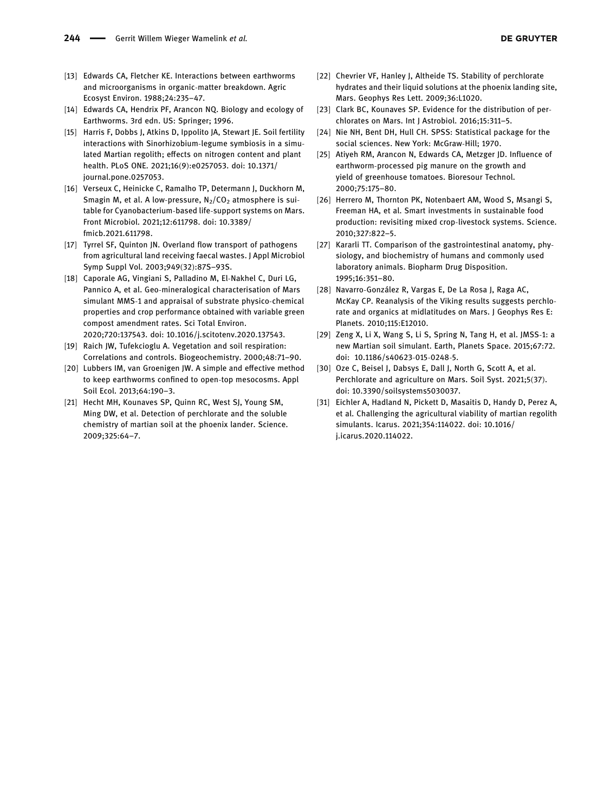- <span id="page-6-0"></span>[13] Edwards CA, Fletcher KE. Interactions between earthworms and microorganisms in organic-matter breakdown. Agric Ecosyst Environ. 1988;24:235–47.
- <span id="page-6-1"></span>[14] Edwards CA, Hendrix PF, Arancon NQ. Biology and ecology of Earthworms. 3rd edn. US: Springer; 1996.
- <span id="page-6-2"></span>[15] Harris F, Dobbs J, Atkins D, Ippolito JA, Stewart JE. Soil fertility interactions with Sinorhizobium-legume symbiosis in a simulated Martian regolith; effects on nitrogen content and plant health. PLoS ONE. 2021;16(9):e0257053. doi: 10.1371/ journal.pone.0257053.
- <span id="page-6-3"></span>[16] Verseux C, Heinicke C, Ramalho TP, Determann J, Duckhorn M, Smagin M, et al. A low-pressure,  $N_2/CO_2$  atmosphere is suitable for Cyanobacterium-based life-support systems on Mars. Front Microbiol. 2021;12:611798. doi: 10.3389/ fmicb.2021.611798.
- <span id="page-6-4"></span>[17] Tyrrel SF, Quinton JN. Overland flow transport of pathogens from agricultural land receiving faecal wastes. J Appl Microbiol Symp Suppl Vol. 2003;949(32):87S–93S.
- <span id="page-6-5"></span>[18] Caporale AG, Vingiani S, Palladino M, El-Nakhel C, Duri LG, Pannico A, et al. Geo-mineralogical characterisation of Mars simulant MMS-1 and appraisal of substrate physico-chemical properties and crop performance obtained with variable green compost amendment rates. Sci Total Environ. 2020;720:137543. doi: 10.1016/j.scitotenv.2020.137543.
- <span id="page-6-6"></span>[19] Raich JW, Tufekcioglu A. Vegetation and soil respiration: Correlations and controls. Biogeochemistry. 2000;48:71–90.
- <span id="page-6-7"></span>[20] Lubbers IM, van Groenigen JW. A simple and effective method to keep earthworms confined to open-top mesocosms. Appl Soil Ecol. 2013;64:190–3.
- <span id="page-6-8"></span>[21] Hecht MH, Kounaves SP, Quinn RC, West SJ, Young SM, Ming DW, et al. Detection of perchlorate and the soluble chemistry of martian soil at the phoenix lander. Science. 2009;325:64–7.
- [22] Chevrier VF, Hanley J, Altheide TS. Stability of perchlorate hydrates and their liquid solutions at the phoenix landing site, Mars. Geophys Res Lett. 2009;36:L1020.
- <span id="page-6-9"></span>[23] Clark BC, Kounaves SP. Evidence for the distribution of perchlorates on Mars. Int J Astrobiol. 2016;15:311–5.
- <span id="page-6-10"></span>[24] Nie NH, Bent DH, Hull CH. SPSS: Statistical package for the social sciences. New York: McGraw-Hill; 1970.
- <span id="page-6-11"></span>[25] Ativeh RM, Arancon N, Edwards CA, Metzger ID, Influence of earthworm-processed pig manure on the growth and yield of greenhouse tomatoes. Bioresour Technol. 2000;75:175–80.
- <span id="page-6-12"></span>[26] Herrero M, Thornton PK, Notenbaert AM, Wood S, Msangi S, Freeman HA, et al. Smart investments in sustainable food production: revisiting mixed crop-livestock systems. Science. 2010;327:822–5.
- <span id="page-6-13"></span>[27] Kararli TT. Comparison of the gastrointestinal anatomy, physiology, and biochemistry of humans and commonly used laboratory animals. Biopharm Drug Disposition. 1995;16:351–80.
- <span id="page-6-14"></span>[28] Navarro-González R, Vargas E, De La Rosa J, Raga AC, McKay CP. Reanalysis of the Viking results suggests perchlorate and organics at midlatitudes on Mars. J Geophys Res E: Planets. 2010;115:E12010.
- <span id="page-6-15"></span>[29] Zeng X, Li X, Wang S, Li S, Spring N, Tang H, et al. JMSS-1: a new Martian soil simulant. Earth, Planets Space. 2015;67:72. doi: 10.1186/s40623-015-0248-5.
- <span id="page-6-16"></span>[30] Oze C, Beisel J, Dabsys E, Dall J, North G, Scott A, et al. Perchlorate and agriculture on Mars. Soil Syst. 2021;5(37). doi: 10.3390/soilsystems5030037.
- <span id="page-6-17"></span>[31] Eichler A, Hadland N, Pickett D, Masaitis D, Handy D, Perez A, et al. Challenging the agricultural viability of martian regolith simulants. Icarus. 2021;354:114022. doi: 10.1016/ j.icarus.2020.114022.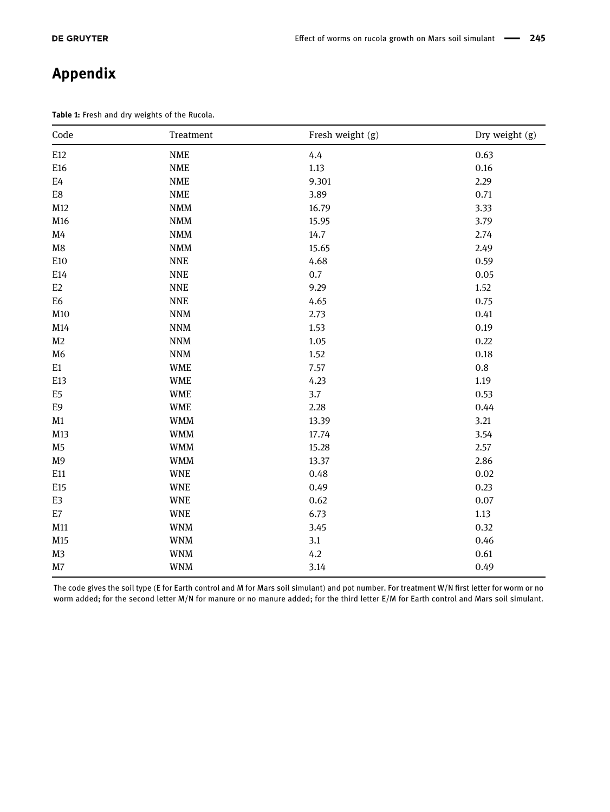## Appendix

Table 1: Fresh and dry weights of the Rucola.

| Code                         | $\begin{minipage}{.4\linewidth} \textbf{Treatment} \end{minipage} \vspace{-0.5em}$ | Fresh weight (g) | Dry weight (g) |
|------------------------------|------------------------------------------------------------------------------------|------------------|----------------|
| E12                          | <b>NME</b>                                                                         | 4.4              | 0.63           |
| E16                          | <b>NME</b>                                                                         | 1.13             | 0.16           |
| $\mathrm{E}4$                | <b>NME</b>                                                                         | 9.301            | 2.29           |
| ${\rm E}8$                   | <b>NME</b>                                                                         | 3.89             | 0.71           |
| M12                          | <b>NMM</b>                                                                         | 16.79            | 3.33           |
| M16                          | $\mathbf{NMM}$                                                                     | 15.95            | 3.79           |
| M4                           | <b>NMM</b>                                                                         | 14.7             | 2.74           |
| $\rm M8$                     | $\mathop{\rm NMM}\nolimits$                                                        | 15.65            | 2.49           |
| E10                          | <b>NNE</b>                                                                         | 4.68             | 0.59           |
| E14                          | <b>NNE</b>                                                                         | 0.7              | 0.05           |
| E2                           | <b>NNE</b>                                                                         | 9.29             | 1.52           |
| E <sub>6</sub>               | <b>NNE</b>                                                                         | 4.65             | 0.75           |
| M10                          | <b>NNM</b>                                                                         | 2.73             | 0.41           |
| M14                          | $\textsf{NNM}$                                                                     | 1.53             | 0.19           |
| M <sub>2</sub>               | $\textsf{NNM}$                                                                     | 1.05             | 0.22           |
| M <sub>6</sub>               | <b>NNM</b>                                                                         | 1.52             | 0.18           |
| $\rm E1$                     | <b>WME</b>                                                                         | 7.57             | $0.8\,$        |
| E13                          | <b>WME</b>                                                                         | 4.23             | 1.19           |
| E <sub>5</sub>               | <b>WME</b>                                                                         | 3.7              | 0.53           |
| E9                           | <b>WME</b>                                                                         | 2.28             | 0.44           |
| M1                           | <b>WMM</b>                                                                         | 13.39            | 3.21           |
| M13                          | <b>WMM</b>                                                                         | 17.74            | 3.54           |
| M <sub>5</sub>               | <b>WMM</b>                                                                         | 15.28            | 2.57           |
| M <sub>9</sub>               | <b>WMM</b>                                                                         | 13.37            | 2.86           |
| E11                          | <b>WNE</b>                                                                         | 0.48             | 0.02           |
| E15                          | <b>WNE</b>                                                                         | 0.49             | 0.23           |
| E3                           | <b>WNE</b>                                                                         | 0.62             | 0.07           |
| $\mathop{\rm E{}}\nolimits7$ | <b>WNE</b>                                                                         | 6.73             | 1.13           |
| M11                          | <b>WNM</b>                                                                         | 3.45             | 0.32           |
| M15                          | <b>WNM</b>                                                                         | 3.1              | 0.46           |
| M <sub>3</sub>               | <b>WNM</b>                                                                         | 4.2              | $0.61\,$       |
| $\rm M7$                     | <b>WNM</b>                                                                         | 3.14             | 0.49           |

The code gives the soil type (E for Earth control and M for Mars soil simulant) and pot number. For treatment W/N first letter for worm or no worm added; for the second letter M/N for manure or no manure added; for the third letter E/M for Earth control and Mars soil simulant.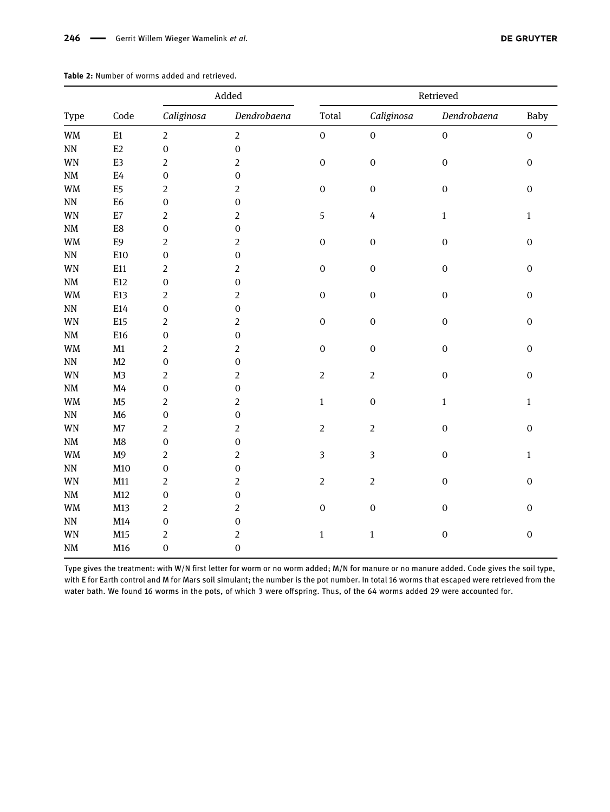|                                 |                | $\operatorname{\mathsf{A}}\nolimits\operatorname{\mathsf{d}}\nolimits\operatorname{\mathsf{ed}}\nolimits$ |                | Retrieved        |                  |                  |                  |
|---------------------------------|----------------|-----------------------------------------------------------------------------------------------------------|----------------|------------------|------------------|------------------|------------------|
| Type                            | Code           | Caliginosa                                                                                                | Dendrobaena    | Total            | Caliginosa       | Dendrobaena      | Baby             |
| WM                              | E1             | $\overline{2}$                                                                                            | $\overline{2}$ | $\boldsymbol{0}$ | $\boldsymbol{0}$ | $\boldsymbol{0}$ | $\boldsymbol{0}$ |
| $\rm NN$                        | E2             | $\boldsymbol{0}$                                                                                          | $\mathbf 0$    |                  |                  |                  |                  |
| <b>WN</b>                       | E3             | $\overline{2}$                                                                                            | $\sqrt{2}$     | $\boldsymbol{0}$ | $\boldsymbol{0}$ | $\boldsymbol{0}$ | $\boldsymbol{0}$ |
| $\mathrm{N}\mathrm{M}$          | $\mathrm{E}4$  | $\boldsymbol{0}$                                                                                          | $\mathbf 0$    |                  |                  |                  |                  |
| $\mathbf{W}\mathbf{M}$          | E5             | $\overline{2}$                                                                                            | $\overline{c}$ | $\boldsymbol{0}$ | $\mathbf 0$      | $\boldsymbol{0}$ | $\boldsymbol{0}$ |
| $\mathbf{N}\mathbf{N}$          | E <sub>6</sub> | $\boldsymbol{0}$                                                                                          | $\mathbf 0$    |                  |                  |                  |                  |
| WN                              | E7             | $\overline{2}$                                                                                            | $\overline{2}$ | 5                | $\overline{4}$   | $\mathbf{1}$     | $\mathbf{1}$     |
| $\mathrm{N}\mathrm{M}$          | ${\rm E}8$     | $\boldsymbol{0}$                                                                                          | $\mathbf 0$    |                  |                  |                  |                  |
| $\mathbf{W}\mathbf{M}$          | E9             | $\overline{2}$                                                                                            | $\overline{c}$ | $\boldsymbol{0}$ | $\boldsymbol{0}$ | $\mathbf 0$      | $\boldsymbol{0}$ |
| $\rm NN$                        | E10            | $\boldsymbol{0}$                                                                                          | $\mathbf 0$    |                  |                  |                  |                  |
| WN                              | E11            | $\overline{2}$                                                                                            | 2              | $\boldsymbol{0}$ | $\boldsymbol{0}$ | $\boldsymbol{0}$ | $\boldsymbol{0}$ |
| $\mathrm{N}\mathrm{M}$          | E12            | $\boldsymbol{0}$                                                                                          | $\mathbf 0$    |                  |                  |                  |                  |
| WM                              | E13            | $\overline{2}$                                                                                            | $\overline{c}$ | $\mathbf 0$      | $\mathbf 0$      | $\boldsymbol{0}$ | $\mathbf 0$      |
| $\rm NN$                        | E14            | $\boldsymbol{0}$                                                                                          | $\mathbf 0$    |                  |                  |                  |                  |
| <b>WN</b>                       | E15            | $\sqrt{2}$                                                                                                | $\overline{c}$ | $\boldsymbol{0}$ | $\boldsymbol{0}$ | $\mathbf 0$      | $\boldsymbol{0}$ |
| $\mathrm{N}\mathrm{M}$          | E16            | $\boldsymbol{0}$                                                                                          | $\mathbf 0$    |                  |                  |                  |                  |
| $\ensuremath{\text{WM}}\xspace$ | M1             | $\overline{2}$                                                                                            | $\overline{c}$ | $\boldsymbol{0}$ | $\boldsymbol{0}$ | $\boldsymbol{0}$ | $\boldsymbol{0}$ |
| $\rm NN$                        | M <sub>2</sub> | $\mathbf 0$                                                                                               | $\mathbf 0$    |                  |                  |                  |                  |
| WN                              | M <sub>3</sub> | $\overline{2}$                                                                                            | $\overline{c}$ | $\overline{2}$   | $\overline{2}$   | $\boldsymbol{0}$ | $\boldsymbol{0}$ |
| $\mathrm{N}\mathrm{M}$          | M4             | $\boldsymbol{0}$                                                                                          | $\mathbf 0$    |                  |                  |                  |                  |
| $\mathbf{W}\mathbf{M}$          | M <sub>5</sub> | $\overline{2}$                                                                                            | $\overline{c}$ | $\mathbf{1}$     | $\mathbf 0$      | $\mathbf{1}$     | $\mathbf{1}$     |
| $\mathbf{N}\mathbf{N}$          | M <sub>6</sub> | $\boldsymbol{0}$                                                                                          | $\mathbf 0$    |                  |                  |                  |                  |
| WN                              | $\rm M7$       | $\sqrt{2}$                                                                                                | $\overline{c}$ | $\overline{2}$   | $\overline{2}$   | $\mathbf 0$      | $\mathbf 0$      |
| $\mathrm{N}\mathrm{M}$          | $\rm M8$       | $\mathbf 0$                                                                                               | $\mathbf 0$    |                  |                  |                  |                  |
| $\mathbf{W}\mathbf{M}$          | M <sub>9</sub> | $\overline{2}$                                                                                            | $\overline{c}$ | 3                | $\overline{3}$   | $\boldsymbol{0}$ | $\mathbf 1$      |
| $\mathbf{N}\mathbf{N}$          | M10            | $\boldsymbol{0}$                                                                                          | $\mathbf 0$    |                  |                  |                  |                  |
| <b>WN</b>                       | M11            | $\overline{2}$                                                                                            | 2              | $\overline{2}$   | $\overline{2}$   | $\boldsymbol{0}$ | $\mathbf 0$      |
| $\mathrm{N}\mathrm{M}$          | M12            | $\boldsymbol{0}$                                                                                          | $\mathbf 0$    |                  |                  |                  |                  |
| WM                              | M13            | $\overline{2}$                                                                                            | $\overline{c}$ | $\mathbf 0$      | $\mathbf 0$      | $\boldsymbol{0}$ | $\mathbf 0$      |
| $\rm NN$                        | M14            | $\boldsymbol{0}$                                                                                          | $\mathbf 0$    |                  |                  |                  |                  |
| WN                              | M15            | $\sqrt{2}$                                                                                                | $\sqrt{2}$     | $\mathbf 1$      | $\mathbf 1$      | $\boldsymbol{0}$ | $\mathbf 0$      |
| $\rm{N}M$                       | M16            | $\mathbf 0$                                                                                               | $\mathbf 0$    |                  |                  |                  |                  |

Table 2: Number of worms added and retrieved.

Type gives the treatment: with W/N first letter for worm or no worm added; M/N for manure or no manure added. Code gives the soil type, with E for Earth control and M for Mars soil simulant; the number is the pot number. In total 16 worms that escaped were retrieved from the water bath. We found 16 worms in the pots, of which 3 were offspring. Thus, of the 64 worms added 29 were accounted for.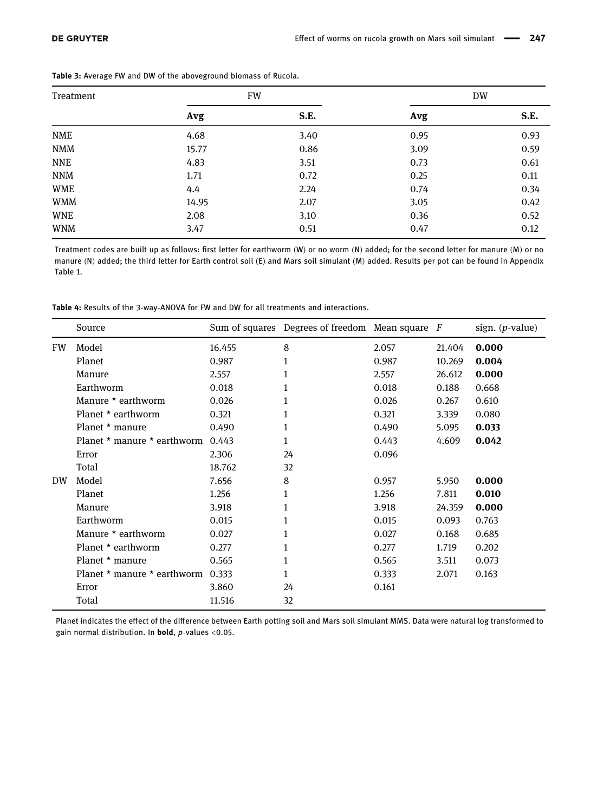| Treatment  |       | <b>FW</b> |      | <b>DW</b> |
|------------|-------|-----------|------|-----------|
|            | Avg   | S.E.      | Avg  | S.E.      |
| <b>NME</b> | 4.68  | 3.40      | 0.95 | 0.93      |
| <b>NMM</b> | 15.77 | 0.86      | 3.09 | 0.59      |
| <b>NNE</b> | 4.83  | 3.51      | 0.73 | 0.61      |
| <b>NNM</b> | 1.71  | 0.72      | 0.25 | 0.11      |
| <b>WME</b> | 4.4   | 2.24      | 0.74 | 0.34      |
| <b>WMM</b> | 14.95 | 2.07      | 3.05 | 0.42      |
| <b>WNE</b> | 2.08  | 3.10      | 0.36 | 0.52      |
| <b>WNM</b> | 3.47  | 0.51      | 0.47 | 0.12      |

Table 3: Average FW and DW of the aboveground biomass of Rucola.

Treatment codes are built up as follows: first letter for earthworm (W) or no worm (N) added; for the second letter for manure (M) or no manure (N) added; the third letter for Earth control soil (E) and Mars soil simulant (M) added. Results per pot can be found in Appendix Table 1.

Table 4: Results of the 3-way-ANOVA for FW and DW for all treatments and interactions.

|    | Source                                        |        | Sum of squares Degrees of freedom Mean square $F$ |       |        | sign. $(p$ -value) |
|----|-----------------------------------------------|--------|---------------------------------------------------|-------|--------|--------------------|
| FW | Model                                         | 16.455 | 8                                                 | 2.057 | 21.404 | 0.000              |
|    | Planet                                        | 0.987  | 1                                                 | 0.987 | 10.269 | 0.004              |
|    | Manure                                        | 2.557  | 1                                                 | 2.557 | 26.612 | 0.000              |
|    | Earthworm                                     | 0.018  | 1                                                 | 0.018 | 0.188  | 0.668              |
|    | Manure * earthworm                            | 0.026  | 1                                                 | 0.026 | 0.267  | 0.610              |
|    | Planet * earthworm                            | 0.321  | 1                                                 | 0.321 | 3.339  | 0.080              |
|    | Planet * manure                               | 0.490  | 1                                                 | 0.490 | 5.095  | 0.033              |
|    | Planet $\star$ manure $\star$ earthworm 0.443 |        | 1                                                 | 0.443 | 4.609  | 0.042              |
|    | Error                                         | 2.306  | 24                                                | 0.096 |        |                    |
|    | Total                                         | 18.762 | 32                                                |       |        |                    |
| DW | Model                                         | 7.656  | 8                                                 | 0.957 | 5.950  | 0.000              |
|    | Planet                                        | 1.256  | 1                                                 | 1.256 | 7.811  | 0.010              |
|    | Manure                                        | 3.918  | 1                                                 | 3.918 | 24.359 | 0.000              |
|    | Earthworm                                     | 0.015  |                                                   | 0.015 | 0.093  | 0.763              |
|    | Manure * earthworm                            | 0.027  | 1                                                 | 0.027 | 0.168  | 0.685              |
|    | Planet * earthworm                            | 0.277  | 1                                                 | 0.277 | 1.719  | 0.202              |
|    | Planet * manure                               | 0.565  | 1                                                 | 0.565 | 3.511  | 0.073              |
|    | Planet $*$ manure $*$ earthworm               | 0.333  | 1                                                 | 0.333 | 2.071  | 0.163              |
|    | Error                                         | 3.860  | 24                                                | 0.161 |        |                    |
|    | Total                                         | 11.516 | 32                                                |       |        |                    |

Planet indicates the effect of the difference between Earth potting soil and Mars soil simulant MMS. Data were natural log transformed to gain normal distribution. In bold, p-values <0.05.